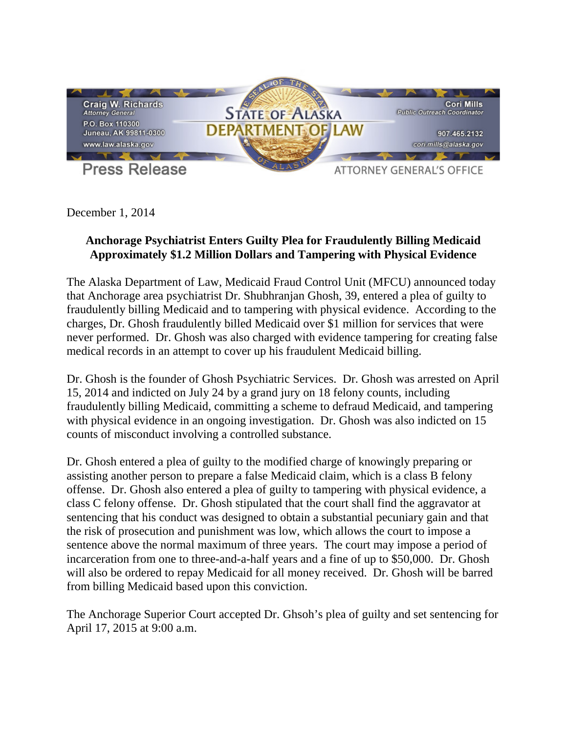

December 1, 2014

## **Anchorage Psychiatrist Enters Guilty Plea for Fraudulently Billing Medicaid Approximately \$1.2 Million Dollars and Tampering with Physical Evidence**

The Alaska Department of Law, Medicaid Fraud Control Unit (MFCU) announced today that Anchorage area psychiatrist Dr. Shubhranjan Ghosh, 39, entered a plea of guilty to fraudulently billing Medicaid and to tampering with physical evidence. According to the charges, Dr. Ghosh fraudulently billed Medicaid over \$1 million for services that were never performed. Dr. Ghosh was also charged with evidence tampering for creating false medical records in an attempt to cover up his fraudulent Medicaid billing.

Dr. Ghosh is the founder of Ghosh Psychiatric Services. Dr. Ghosh was arrested on April 15, 2014 and indicted on July 24 by a grand jury on 18 felony counts, including fraudulently billing Medicaid, committing a scheme to defraud Medicaid, and tampering with physical evidence in an ongoing investigation. Dr. Ghosh was also indicted on 15 counts of misconduct involving a controlled substance.

Dr. Ghosh entered a plea of guilty to the modified charge of knowingly preparing or assisting another person to prepare a false Medicaid claim, which is a class B felony offense. Dr. Ghosh also entered a plea of guilty to tampering with physical evidence, a class C felony offense. Dr. Ghosh stipulated that the court shall find the aggravator at sentencing that his conduct was designed to obtain a substantial pecuniary gain and that the risk of prosecution and punishment was low, which allows the court to impose a sentence above the normal maximum of three years. The court may impose a period of incarceration from one to three-and-a-half years and a fine of up to \$50,000. Dr. Ghosh will also be ordered to repay Medicaid for all money received. Dr. Ghosh will be barred from billing Medicaid based upon this conviction.

The Anchorage Superior Court accepted Dr. Ghsoh's plea of guilty and set sentencing for April 17, 2015 at 9:00 a.m.